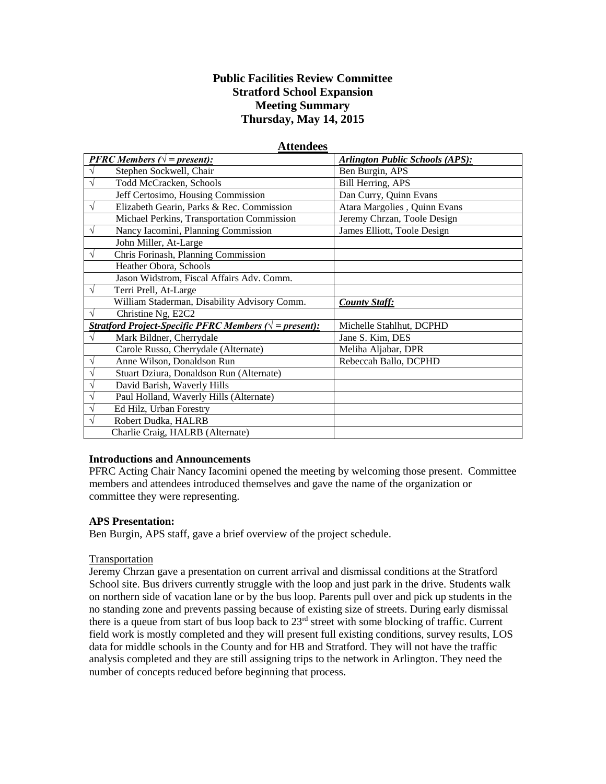# **Public Facilities Review Committee Stratford School Expansion Meeting Summary Thursday, May 14, 2015**

**Attendees**

| Auchuccs                                                        |                                              |                                        |
|-----------------------------------------------------------------|----------------------------------------------|----------------------------------------|
|                                                                 | <b>PFRC</b> Members ( $\sqrt{}$ = present):  | <b>Arlington Public Schools (APS):</b> |
| $\sqrt{}$                                                       | Stephen Sockwell, Chair                      | Ben Burgin, APS                        |
| $\sqrt{}$                                                       | Todd McCracken, Schools                      | Bill Herring, APS                      |
|                                                                 | Jeff Certosimo, Housing Commission           | Dan Curry, Quinn Evans                 |
| $\sqrt{}$                                                       | Elizabeth Gearin, Parks & Rec. Commission    | Atara Margolies, Quinn Evans           |
|                                                                 | Michael Perkins, Transportation Commission   | Jeremy Chrzan, Toole Design            |
| $\sqrt{}$                                                       | Nancy Iacomini, Planning Commission          | James Elliott, Toole Design            |
|                                                                 | John Miller, At-Large                        |                                        |
| $\sqrt{ }$                                                      | Chris Forinash, Planning Commission          |                                        |
|                                                                 | Heather Obora, Schools                       |                                        |
|                                                                 | Jason Widstrom, Fiscal Affairs Adv. Comm.    |                                        |
| $\sqrt{}$                                                       | Terri Prell, At-Large                        |                                        |
|                                                                 | William Staderman, Disability Advisory Comm. | <b>County Staff:</b>                   |
| $\sqrt{}$                                                       | Christine Ng, E2C2                           |                                        |
| Stratford Project-Specific PFRC Members ( $\sqrt{}$ = present): |                                              | Michelle Stahlhut, DCPHD               |
| $\sqrt{}$                                                       | Mark Bildner, Cherrydale                     | Jane S. Kim, DES                       |
|                                                                 | Carole Russo, Cherrydale (Alternate)         | Meliha Aljabar, DPR                    |
| V                                                               | Anne Wilson, Donaldson Run                   | Rebeccah Ballo, DCPHD                  |
| $\sqrt{}$                                                       | Stuart Dziura, Donaldson Run (Alternate)     |                                        |
| $\sqrt{}$                                                       | David Barish, Waverly Hills                  |                                        |
| $\sqrt{}$                                                       | Paul Holland, Waverly Hills (Alternate)      |                                        |
| $\sqrt{}$                                                       | Ed Hilz, Urban Forestry                      |                                        |
| $\sqrt{ }$                                                      | Robert Dudka, HALRB                          |                                        |
|                                                                 | Charlie Craig, HALRB (Alternate)             |                                        |

#### **Introductions and Announcements**

PFRC Acting Chair Nancy Iacomini opened the meeting by welcoming those present. Committee members and attendees introduced themselves and gave the name of the organization or committee they were representing.

#### **APS Presentation:**

Ben Burgin, APS staff, gave a brief overview of the project schedule.

#### Transportation

Jeremy Chrzan gave a presentation on current arrival and dismissal conditions at the Stratford School site. Bus drivers currently struggle with the loop and just park in the drive. Students walk on northern side of vacation lane or by the bus loop. Parents pull over and pick up students in the no standing zone and prevents passing because of existing size of streets. During early dismissal there is a queue from start of bus loop back to 23rd street with some blocking of traffic. Current field work is mostly completed and they will present full existing conditions, survey results, LOS data for middle schools in the County and for HB and Stratford. They will not have the traffic analysis completed and they are still assigning trips to the network in Arlington. They need the number of concepts reduced before beginning that process.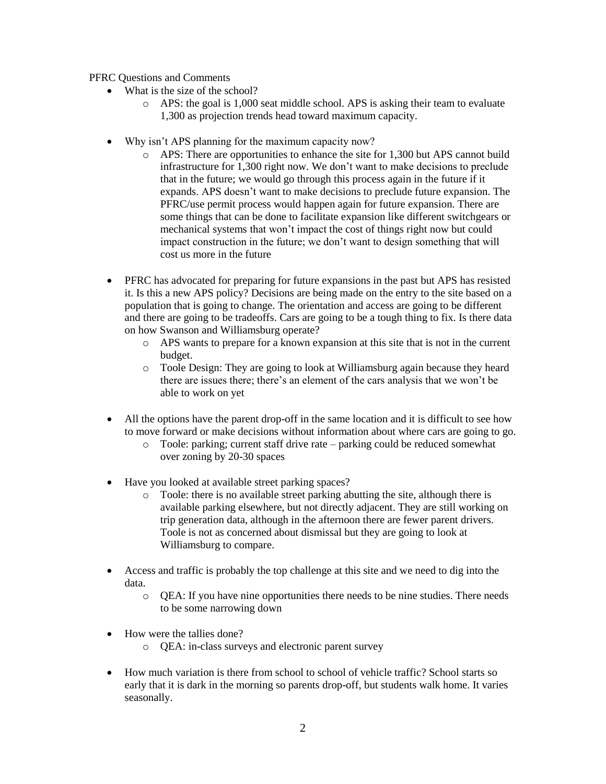PFRC Questions and Comments

- What is the size of the school?
	- o APS: the goal is 1,000 seat middle school. APS is asking their team to evaluate 1,300 as projection trends head toward maximum capacity.
- Why isn't APS planning for the maximum capacity now?
	- o APS: There are opportunities to enhance the site for 1,300 but APS cannot build infrastructure for 1,300 right now. We don't want to make decisions to preclude that in the future; we would go through this process again in the future if it expands. APS doesn't want to make decisions to preclude future expansion. The PFRC/use permit process would happen again for future expansion. There are some things that can be done to facilitate expansion like different switchgears or mechanical systems that won't impact the cost of things right now but could impact construction in the future; we don't want to design something that will cost us more in the future
- PFRC has advocated for preparing for future expansions in the past but APS has resisted it. Is this a new APS policy? Decisions are being made on the entry to the site based on a population that is going to change. The orientation and access are going to be different and there are going to be tradeoffs. Cars are going to be a tough thing to fix. Is there data on how Swanson and Williamsburg operate?
	- o APS wants to prepare for a known expansion at this site that is not in the current budget.
	- o Toole Design: They are going to look at Williamsburg again because they heard there are issues there; there's an element of the cars analysis that we won't be able to work on yet
- All the options have the parent drop-off in the same location and it is difficult to see how to move forward or make decisions without information about where cars are going to go.
	- o Toole: parking; current staff drive rate parking could be reduced somewhat over zoning by 20-30 spaces
- Have you looked at available street parking spaces?
	- o Toole: there is no available street parking abutting the site, although there is available parking elsewhere, but not directly adjacent. They are still working on trip generation data, although in the afternoon there are fewer parent drivers. Toole is not as concerned about dismissal but they are going to look at Williamsburg to compare.
- Access and traffic is probably the top challenge at this site and we need to dig into the data.
	- o QEA: If you have nine opportunities there needs to be nine studies. There needs to be some narrowing down
- How were the tallies done?
	- o QEA: in-class surveys and electronic parent survey
- How much variation is there from school to school of vehicle traffic? School starts so early that it is dark in the morning so parents drop-off, but students walk home. It varies seasonally.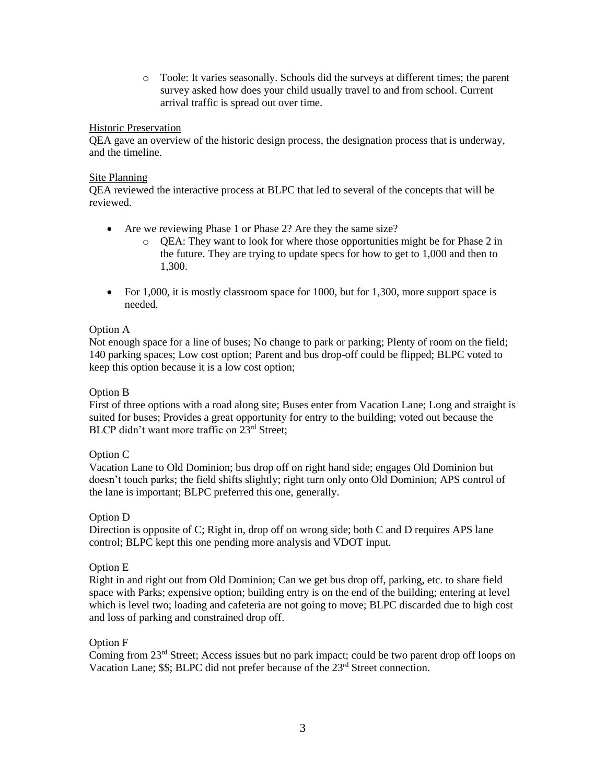o Toole: It varies seasonally. Schools did the surveys at different times; the parent survey asked how does your child usually travel to and from school. Current arrival traffic is spread out over time.

#### Historic Preservation

QEA gave an overview of the historic design process, the designation process that is underway, and the timeline.

#### Site Planning

QEA reviewed the interactive process at BLPC that led to several of the concepts that will be reviewed.

- Are we reviewing Phase 1 or Phase 2? Are they the same size?
	- o QEA: They want to look for where those opportunities might be for Phase 2 in the future. They are trying to update specs for how to get to 1,000 and then to 1,300.
- For 1,000, it is mostly classroom space for 1000, but for 1,300, more support space is needed.

## Option A

Not enough space for a line of buses; No change to park or parking; Plenty of room on the field; 140 parking spaces; Low cost option; Parent and bus drop-off could be flipped; BLPC voted to keep this option because it is a low cost option;

## Option B

First of three options with a road along site; Buses enter from Vacation Lane; Long and straight is suited for buses; Provides a great opportunity for entry to the building; voted out because the BLCP didn't want more traffic on 23<sup>rd</sup> Street;

## Option C

Vacation Lane to Old Dominion; bus drop off on right hand side; engages Old Dominion but doesn't touch parks; the field shifts slightly; right turn only onto Old Dominion; APS control of the lane is important; BLPC preferred this one, generally.

#### Option D

Direction is opposite of C; Right in, drop off on wrong side; both C and D requires APS lane control; BLPC kept this one pending more analysis and VDOT input.

#### Option E

Right in and right out from Old Dominion; Can we get bus drop off, parking, etc. to share field space with Parks; expensive option; building entry is on the end of the building; entering at level which is level two; loading and cafeteria are not going to move; BLPC discarded due to high cost and loss of parking and constrained drop off.

## Option F

Coming from 23rd Street; Access issues but no park impact; could be two parent drop off loops on Vacation Lane; \$\$; BLPC did not prefer because of the 23<sup>rd</sup> Street connection.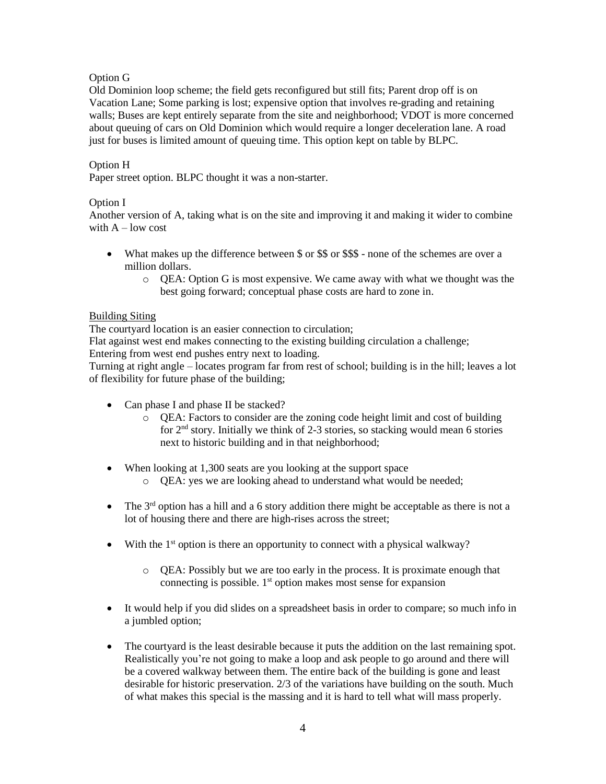## Option G

Old Dominion loop scheme; the field gets reconfigured but still fits; Parent drop off is on Vacation Lane; Some parking is lost; expensive option that involves re-grading and retaining walls; Buses are kept entirely separate from the site and neighborhood; VDOT is more concerned about queuing of cars on Old Dominion which would require a longer deceleration lane. A road just for buses is limited amount of queuing time. This option kept on table by BLPC.

## Option H

Paper street option. BLPC thought it was a non-starter.

## Option I

Another version of A, taking what is on the site and improving it and making it wider to combine with  $A$  – low cost

- What makes up the difference between \$ or \$\$ or \$\$\$ none of the schemes are over a million dollars.
	- $\circ$  QEA: Option G is most expensive. We came away with what we thought was the best going forward; conceptual phase costs are hard to zone in.

## Building Siting

The courtyard location is an easier connection to circulation;

Flat against west end makes connecting to the existing building circulation a challenge; Entering from west end pushes entry next to loading.

Turning at right angle – locates program far from rest of school; building is in the hill; leaves a lot of flexibility for future phase of the building;

- Can phase I and phase II be stacked?
	- o QEA: Factors to consider are the zoning code height limit and cost of building for 2nd story. Initially we think of 2-3 stories, so stacking would mean 6 stories next to historic building and in that neighborhood;
- When looking at 1,300 seats are you looking at the support space
	- o QEA: yes we are looking ahead to understand what would be needed;
- The  $3<sup>rd</sup>$  option has a hill and a 6 story addition there might be acceptable as there is not a lot of housing there and there are high-rises across the street;
- With the 1<sup>st</sup> option is there an opportunity to connect with a physical walkway?
	- o QEA: Possibly but we are too early in the process. It is proximate enough that connecting is possible. 1<sup>st</sup> option makes most sense for expansion
- It would help if you did slides on a spreadsheet basis in order to compare; so much info in a jumbled option;
- The courtyard is the least desirable because it puts the addition on the last remaining spot. Realistically you're not going to make a loop and ask people to go around and there will be a covered walkway between them. The entire back of the building is gone and least desirable for historic preservation. 2/3 of the variations have building on the south. Much of what makes this special is the massing and it is hard to tell what will mass properly.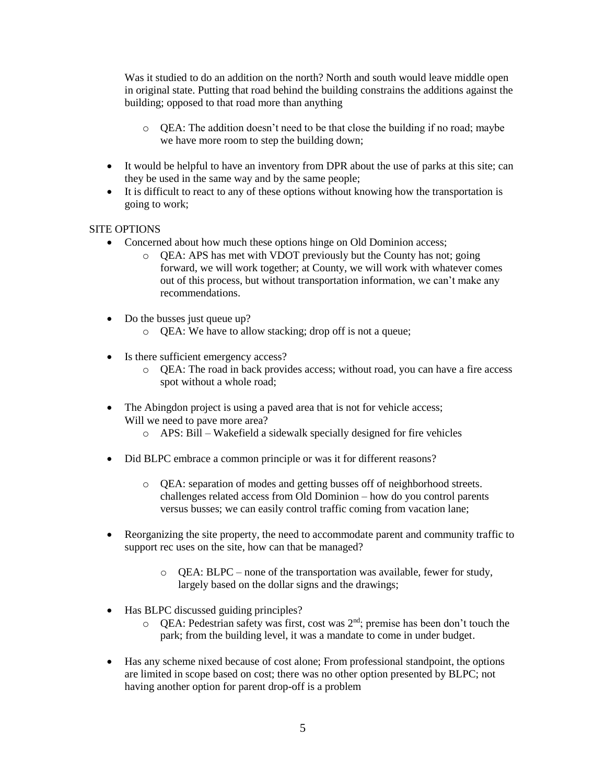Was it studied to do an addition on the north? North and south would leave middle open in original state. Putting that road behind the building constrains the additions against the building; opposed to that road more than anything

- $\circ$  QEA: The addition doesn't need to be that close the building if no road; maybe we have more room to step the building down;
- It would be helpful to have an inventory from DPR about the use of parks at this site; can they be used in the same way and by the same people;
- It is difficult to react to any of these options without knowing how the transportation is going to work;

## SITE OPTIONS

- Concerned about how much these options hinge on Old Dominion access;
	- o QEA: APS has met with VDOT previously but the County has not; going forward, we will work together; at County, we will work with whatever comes out of this process, but without transportation information, we can't make any recommendations.
- Do the busses just queue up?
	- o QEA: We have to allow stacking; drop off is not a queue;
- Is there sufficient emergency access?
	- o QEA: The road in back provides access; without road, you can have a fire access spot without a whole road;
- The Abingdon project is using a paved area that is not for vehicle access; Will we need to pave more area?
	- o APS: Bill Wakefield a sidewalk specially designed for fire vehicles
- Did BLPC embrace a common principle or was it for different reasons?
	- o QEA: separation of modes and getting busses off of neighborhood streets. challenges related access from Old Dominion – how do you control parents versus busses; we can easily control traffic coming from vacation lane;
- Reorganizing the site property, the need to accommodate parent and community traffic to support rec uses on the site, how can that be managed?
	- o QEA: BLPC none of the transportation was available, fewer for study, largely based on the dollar signs and the drawings;
- Has BLPC discussed guiding principles?
	- o QEA: Pedestrian safety was first, cost was 2nd; premise has been don't touch the park; from the building level, it was a mandate to come in under budget.
- Has any scheme nixed because of cost alone; From professional standpoint, the options are limited in scope based on cost; there was no other option presented by BLPC; not having another option for parent drop-off is a problem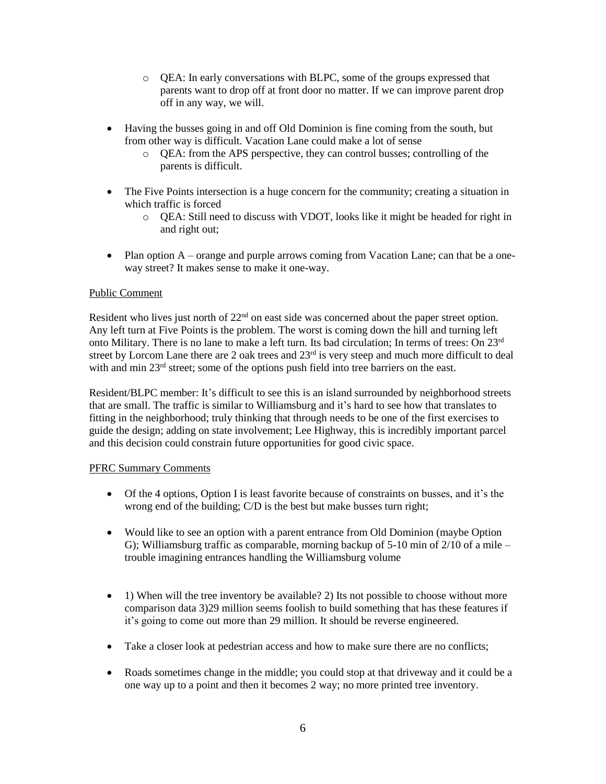- o QEA: In early conversations with BLPC, some of the groups expressed that parents want to drop off at front door no matter. If we can improve parent drop off in any way, we will.
- Having the busses going in and off Old Dominion is fine coming from the south, but from other way is difficult. Vacation Lane could make a lot of sense
	- o QEA: from the APS perspective, they can control busses; controlling of the parents is difficult.
- The Five Points intersection is a huge concern for the community; creating a situation in which traffic is forced
	- o QEA: Still need to discuss with VDOT, looks like it might be headed for right in and right out;
- Plan option A orange and purple arrows coming from Vacation Lane; can that be a oneway street? It makes sense to make it one-way.

## Public Comment

Resident who lives just north of  $22<sup>nd</sup>$  on east side was concerned about the paper street option. Any left turn at Five Points is the problem. The worst is coming down the hill and turning left onto Military. There is no lane to make a left turn. Its bad circulation; In terms of trees: On 23rd street by Lorcom Lane there are 2 oak trees and  $23<sup>rd</sup>$  is very steep and much more difficult to deal with and min 23<sup>rd</sup> street; some of the options push field into tree barriers on the east.

Resident/BLPC member: It's difficult to see this is an island surrounded by neighborhood streets that are small. The traffic is similar to Williamsburg and it's hard to see how that translates to fitting in the neighborhood; truly thinking that through needs to be one of the first exercises to guide the design; adding on state involvement; Lee Highway, this is incredibly important parcel and this decision could constrain future opportunities for good civic space.

#### PFRC Summary Comments

- Of the 4 options, Option I is least favorite because of constraints on busses, and it's the wrong end of the building; C/D is the best but make busses turn right;
- Would like to see an option with a parent entrance from Old Dominion (maybe Option G); Williamsburg traffic as comparable, morning backup of  $5-10$  min of  $2/10$  of a mile – trouble imagining entrances handling the Williamsburg volume
- 1) When will the tree inventory be available? 2) Its not possible to choose without more comparison data 3)29 million seems foolish to build something that has these features if it's going to come out more than 29 million. It should be reverse engineered.
- Take a closer look at pedestrian access and how to make sure there are no conflicts;
- Roads sometimes change in the middle; you could stop at that driveway and it could be a one way up to a point and then it becomes 2 way; no more printed tree inventory.